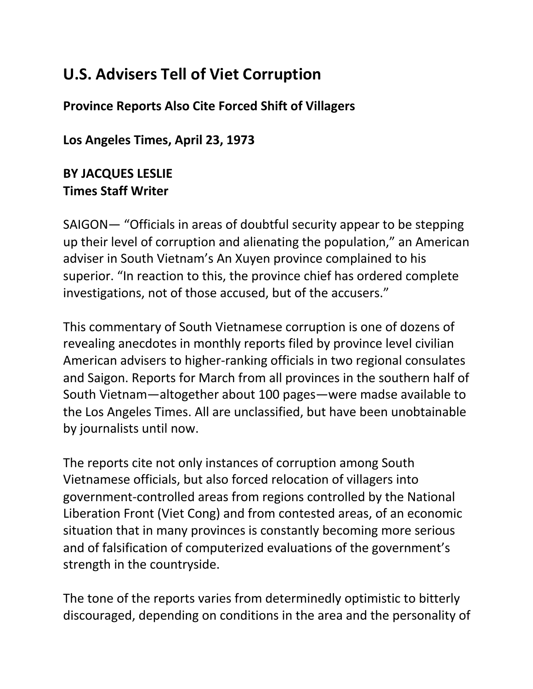## **U.S. Advisers Tell of Viet Corruption**

**Province Reports Also Cite Forced Shift of Villagers**

**Los Angeles Times, April 23, 1973**

## **BY JACQUES LESLIE Times Staff Writer**

SAIGON— "Officials in areas of doubtful security appear to be stepping up their level of corruption and alienating the population," an American adviser in South Vietnam's An Xuyen province complained to his superior. "In reaction to this, the province chief has ordered complete investigations, not of those accused, but of the accusers."

This commentary of South Vietnamese corruption is one of dozens of revealing anecdotes in monthly reports filed by province level civilian American advisers to higher-ranking officials in two regional consulates and Saigon. Reports for March from all provinces in the southern half of South Vietnam—altogether about 100 pages—were madse available to the Los Angeles Times. All are unclassified, but have been unobtainable by journalists until now.

The reports cite not only instances of corruption among South Vietnamese officials, but also forced relocation of villagers into government-controlled areas from regions controlled by the National Liberation Front (Viet Cong) and from contested areas, of an economic situation that in many provinces is constantly becoming more serious and of falsification of computerized evaluations of the government's strength in the countryside.

The tone of the reports varies from determinedly optimistic to bitterly discouraged, depending on conditions in the area and the personality of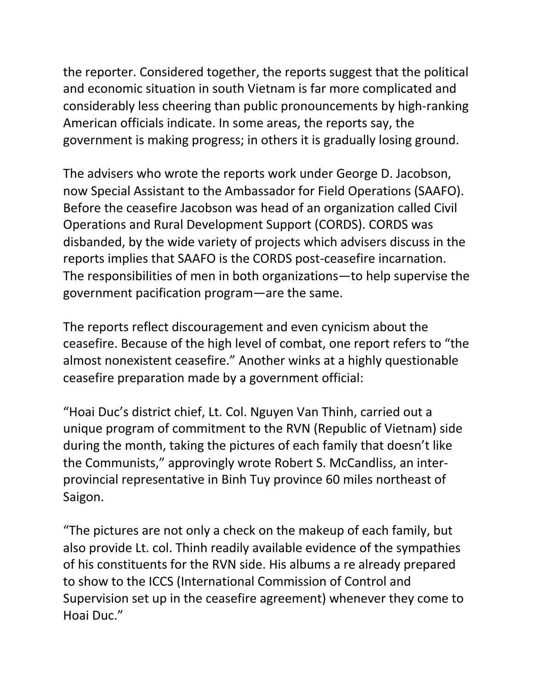the reporter. Considered together, the reports suggest that the political and economic situation in south Vietnam is far more complicated and considerably less cheering than public pronouncements by high-ranking American officials indicate. In some areas, the reports say, the government is making progress; in others it is gradually losing ground.

The advisers who wrote the reports work under George D. Jacobson, now Special Assistant to the Ambassador for Field Operations (SAAFO). Before the ceasefire Jacobson was head of an organization called Civil Operations and Rural Development Support (CORDS). CORDS was disbanded, by the wide variety of projects which advisers discuss in the reports implies that SAAFO is the CORDS post-ceasefire incarnation. The responsibilities of men in both organizations—to help supervise the government pacification program—are the same.

The reports reflect discouragement and even cynicism about the ceasefire. Because of the high level of combat, one report refers to "the almost nonexistent ceasefire." Another winks at a highly questionable ceasefire preparation made by a government official:

"Hoai Duc's district chief, Lt. Col. Nguyen Van Thinh, carried out a unique program of commitment to the RVN (Republic of Vietnam) side during the month, taking the pictures of each family that doesn't like the Communists," approvingly wrote Robert S. McCandliss, an interprovincial representative in Binh Tuy province 60 miles northeast of Saigon.

"The pictures are not only a check on the makeup of each family, but also provide Lt. col. Thinh readily available evidence of the sympathies of his constituents for the RVN side. His albums a re already prepared to show to the ICCS (International Commission of Control and Supervision set up in the ceasefire agreement) whenever they come to Hoai Duc."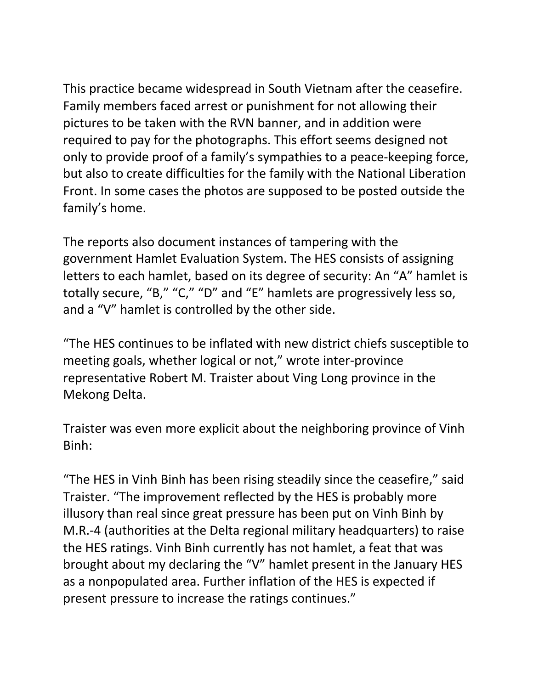This practice became widespread in South Vietnam after the ceasefire. Family members faced arrest or punishment for not allowing their pictures to be taken with the RVN banner, and in addition were required to pay for the photographs. This effort seems designed not only to provide proof of a family's sympathies to a peace-keeping force, but also to create difficulties for the family with the National Liberation Front. In some cases the photos are supposed to be posted outside the family's home.

The reports also document instances of tampering with the government Hamlet Evaluation System. The HES consists of assigning letters to each hamlet, based on its degree of security: An "A" hamlet is totally secure, "B," "C," "D" and "E" hamlets are progressively less so, and a "V" hamlet is controlled by the other side.

"The HES continues to be inflated with new district chiefs susceptible to meeting goals, whether logical or not," wrote inter-province representative Robert M. Traister about Ving Long province in the Mekong Delta.

Traister was even more explicit about the neighboring province of Vinh Binh:

"The HES in Vinh Binh has been rising steadily since the ceasefire," said Traister. "The improvement reflected by the HES is probably more illusory than real since great pressure has been put on Vinh Binh by M.R.-4 (authorities at the Delta regional military headquarters) to raise the HES ratings. Vinh Binh currently has not hamlet, a feat that was brought about my declaring the "V" hamlet present in the January HES as a nonpopulated area. Further inflation of the HES is expected if present pressure to increase the ratings continues."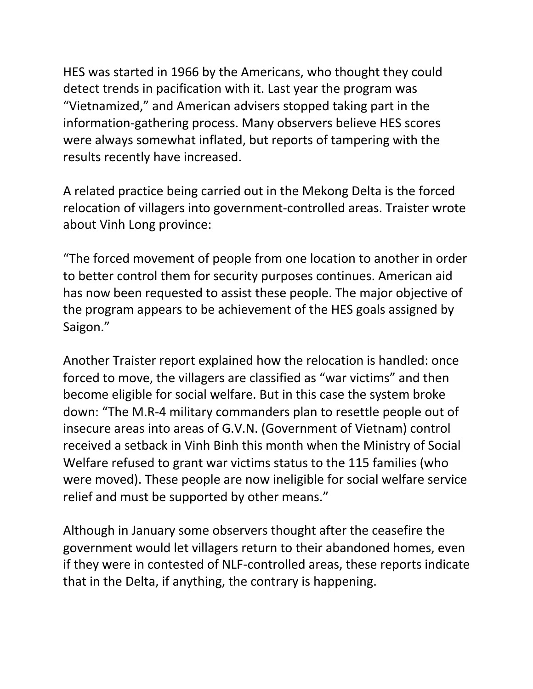HES was started in 1966 by the Americans, who thought they could detect trends in pacification with it. Last year the program was "Vietnamized," and American advisers stopped taking part in the information-gathering process. Many observers believe HES scores were always somewhat inflated, but reports of tampering with the results recently have increased.

A related practice being carried out in the Mekong Delta is the forced relocation of villagers into government-controlled areas. Traister wrote about Vinh Long province:

"The forced movement of people from one location to another in order to better control them for security purposes continues. American aid has now been requested to assist these people. The major objective of the program appears to be achievement of the HES goals assigned by Saigon."

Another Traister report explained how the relocation is handled: once forced to move, the villagers are classified as "war victims" and then become eligible for social welfare. But in this case the system broke down: "The M.R-4 military commanders plan to resettle people out of insecure areas into areas of G.V.N. (Government of Vietnam) control received a setback in Vinh Binh this month when the Ministry of Social Welfare refused to grant war victims status to the 115 families (who were moved). These people are now ineligible for social welfare service relief and must be supported by other means."

Although in January some observers thought after the ceasefire the government would let villagers return to their abandoned homes, even if they were in contested of NLF-controlled areas, these reports indicate that in the Delta, if anything, the contrary is happening.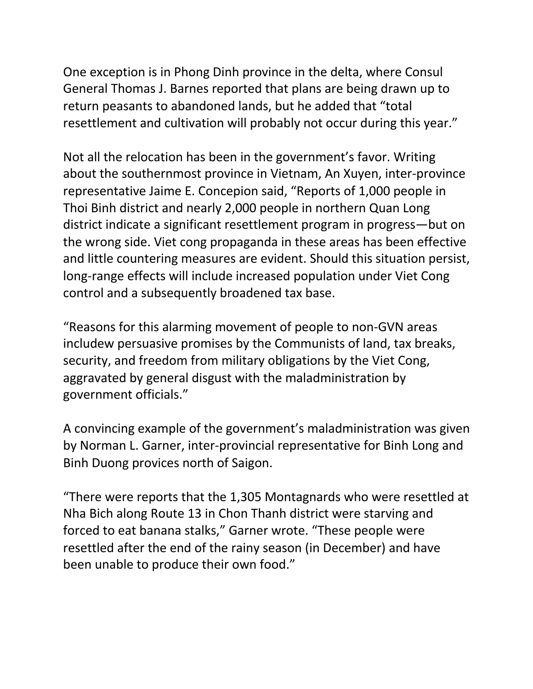One exception is in Phong Dinh province in the delta, where Consul General Thomas J. Barnes reported that plans are being drawn up to return peasants to abandoned lands, but he added that "total resettlement and cultivation will probably not occur during this year."

Not all the relocation has been in the government's favor. Writing about the southernmost province in Vietnam, An Xuyen, inter-province representative Jaime E. Concepion said, "Reports of 1,000 people in Thoi Binh district and nearly 2,000 people in northern Quan Long district indicate a significant resettlement program in progress—but on the wrong side. Viet cong propaganda in these areas has been effective and little countering measures are evident. Should this situation persist, long-range effects will include increased population under Viet Cong control and a subsequently broadened tax base.

"Reasons for this alarming movement of people to non-GVN areas includew persuasive promises by the Communists of land, tax breaks, security, and freedom from military obligations by the Viet Cong, aggravated by general disgust with the maladministration by government officials."

A convincing example of the government's maladministration was given by Norman L. Garner, inter-provincial representative for Binh Long and Binh Duong provices north of Saigon.

"There were reports that the 1,305 Montagnards who were resettled at Nha Bich along Route 13 in Chon Thanh district were starving and forced to eat banana stalks," Garner wrote. "These people were resettled after the end of the rainy season (in December) and have been unable to produce their own food."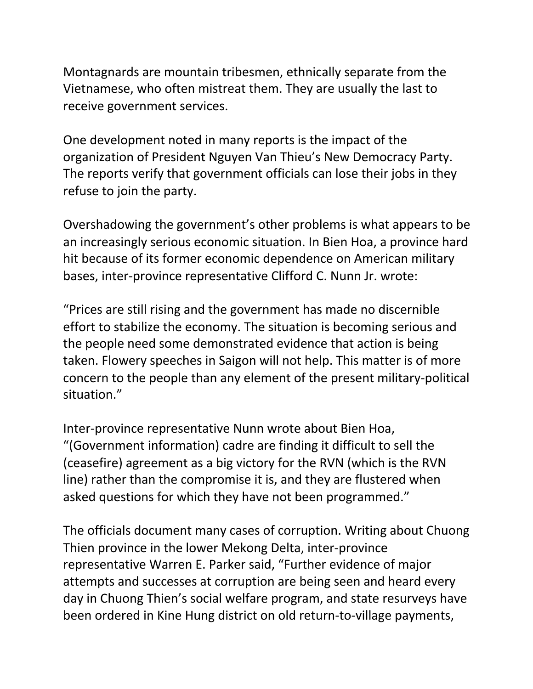Montagnards are mountain tribesmen, ethnically separate from the Vietnamese, who often mistreat them. They are usually the last to receive government services.

One development noted in many reports is the impact of the organization of President Nguyen Van Thieu's New Democracy Party. The reports verify that government officials can lose their jobs in they refuse to join the party.

Overshadowing the government's other problems is what appears to be an increasingly serious economic situation. In Bien Hoa, a province hard hit because of its former economic dependence on American military bases, inter-province representative Clifford C. Nunn Jr. wrote:

"Prices are still rising and the government has made no discernible effort to stabilize the economy. The situation is becoming serious and the people need some demonstrated evidence that action is being taken. Flowery speeches in Saigon will not help. This matter is of more concern to the people than any element of the present military-political situation."

Inter-province representative Nunn wrote about Bien Hoa, "(Government information) cadre are finding it difficult to sell the (ceasefire) agreement as a big victory for the RVN (which is the RVN line) rather than the compromise it is, and they are flustered when asked questions for which they have not been programmed."

The officials document many cases of corruption. Writing about Chuong Thien province in the lower Mekong Delta, inter-province representative Warren E. Parker said, "Further evidence of major attempts and successes at corruption are being seen and heard every day in Chuong Thien's social welfare program, and state resurveys have been ordered in Kine Hung district on old return-to-village payments,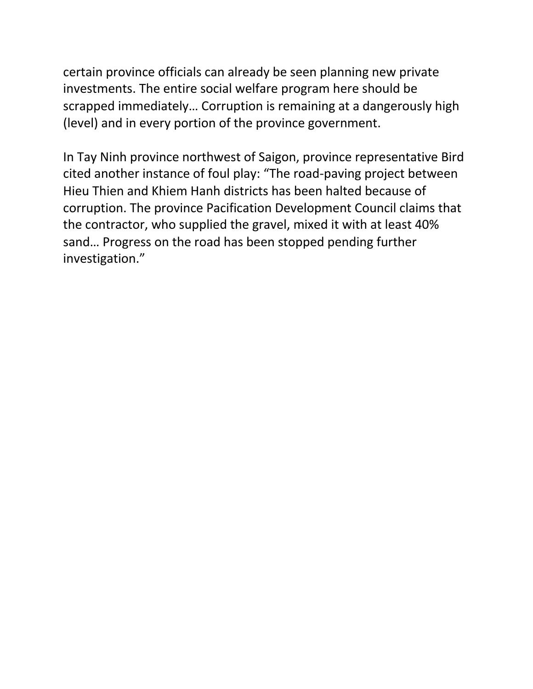certain province officials can already be seen planning new private investments. The entire social welfare program here should be scrapped immediately… Corruption is remaining at a dangerously high (level) and in every portion of the province government.

In Tay Ninh province northwest of Saigon, province representative Bird cited another instance of foul play: "The road-paving project between Hieu Thien and Khiem Hanh districts has been halted because of corruption. The province Pacification Development Council claims that the contractor, who supplied the gravel, mixed it with at least 40% sand… Progress on the road has been stopped pending further investigation."